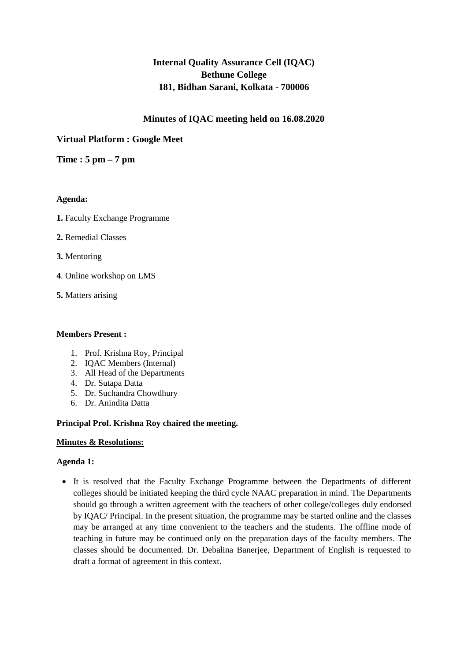# **Internal Quality Assurance Cell (IQAC) Bethune College 181, Bidhan Sarani, Kolkata - 700006**

# **Minutes of IQAC meeting held on 16.08.2020**

# **Virtual Platform : Google Meet**

# **Time : 5 pm – 7 pm**

# **Agenda:**

- **1.** Faculty Exchange Programme
- **2.** Remedial Classes
- **3.** Mentoring
- **4**. Online workshop on LMS
- **5.** Matters arising

### **Members Present :**

- 1. Prof. Krishna Roy, Principal
- 2. IQAC Members (Internal)
- 3. All Head of the Departments
- 4. Dr. Sutapa Datta
- 5. Dr. Suchandra Chowdhury
- 6. Dr. Anindita Datta

# **Principal Prof. Krishna Roy chaired the meeting.**

#### **Minutes & Resolutions:**

#### **Agenda 1:**

 It is resolved that the Faculty Exchange Programme between the Departments of different colleges should be initiated keeping the third cycle NAAC preparation in mind. The Departments should go through a written agreement with the teachers of other college/colleges duly endorsed by IQAC/ Principal. In the present situation, the programme may be started online and the classes may be arranged at any time convenient to the teachers and the students. The offline mode of teaching in future may be continued only on the preparation days of the faculty members. The classes should be documented. Dr. Debalina Banerjee, Department of English is requested to draft a format of agreement in this context.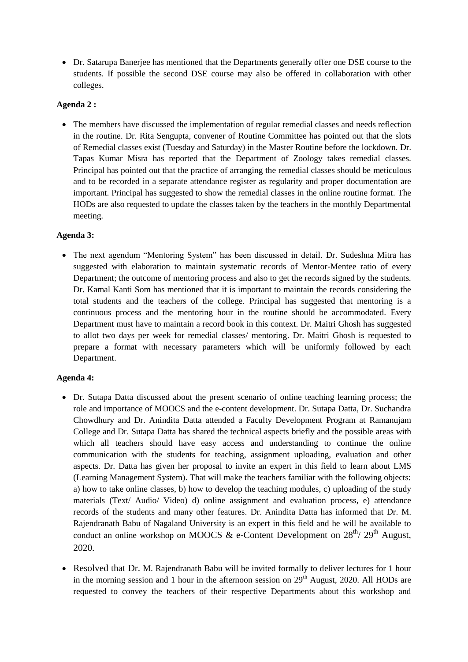Dr. Satarupa Banerjee has mentioned that the Departments generally offer one DSE course to the students. If possible the second DSE course may also be offered in collaboration with other colleges.

# **Agenda 2 :**

• The members have discussed the implementation of regular remedial classes and needs reflection in the routine. Dr. Rita Sengupta, convener of Routine Committee has pointed out that the slots of Remedial classes exist (Tuesday and Saturday) in the Master Routine before the lockdown. Dr. Tapas Kumar Misra has reported that the Department of Zoology takes remedial classes. Principal has pointed out that the practice of arranging the remedial classes should be meticulous and to be recorded in a separate attendance register as regularity and proper documentation are important. Principal has suggested to show the remedial classes in the online routine format. The HODs are also requested to update the classes taken by the teachers in the monthly Departmental meeting.

# **Agenda 3:**

• The next agendum "Mentoring System" has been discussed in detail. Dr. Sudeshna Mitra has suggested with elaboration to maintain systematic records of Mentor-Mentee ratio of every Department; the outcome of mentoring process and also to get the records signed by the students. Dr. Kamal Kanti Som has mentioned that it is important to maintain the records considering the total students and the teachers of the college. Principal has suggested that mentoring is a continuous process and the mentoring hour in the routine should be accommodated. Every Department must have to maintain a record book in this context. Dr. Maitri Ghosh has suggested to allot two days per week for remedial classes/ mentoring. Dr. Maitri Ghosh is requested to prepare a format with necessary parameters which will be uniformly followed by each Department.

# **Agenda 4:**

- Dr. Sutapa Datta discussed about the present scenario of online teaching learning process; the role and importance of MOOCS and the e-content development. Dr. Sutapa Datta, Dr. Suchandra Chowdhury and Dr. Anindita Datta attended a Faculty Development Program at Ramanujam College and Dr. Sutapa Datta has shared the technical aspects briefly and the possible areas with which all teachers should have easy access and understanding to continue the online communication with the students for teaching, assignment uploading, evaluation and other aspects. Dr. Datta has given her proposal to invite an expert in this field to learn about LMS (Learning Management System). That will make the teachers familiar with the following objects: a) how to take online classes, b) how to develop the teaching modules, c) uploading of the study materials (Text/ Audio/ Video) d) online assignment and evaluation process, e) attendance records of the students and many other features. Dr. Anindita Datta has informed that Dr. M. Rajendranath Babu of Nagaland University is an expert in this field and he will be available to conduct an online workshop on MOOCS & e-Content Development on  $28^{th}$  /  $29^{th}$  August, 2020.
- Resolved that Dr. M. Rajendranath Babu will be invited formally to deliver lectures for 1 hour in the morning session and 1 hour in the afternoon session on  $29<sup>th</sup>$  August, 2020. All HODs are requested to convey the teachers of their respective Departments about this workshop and